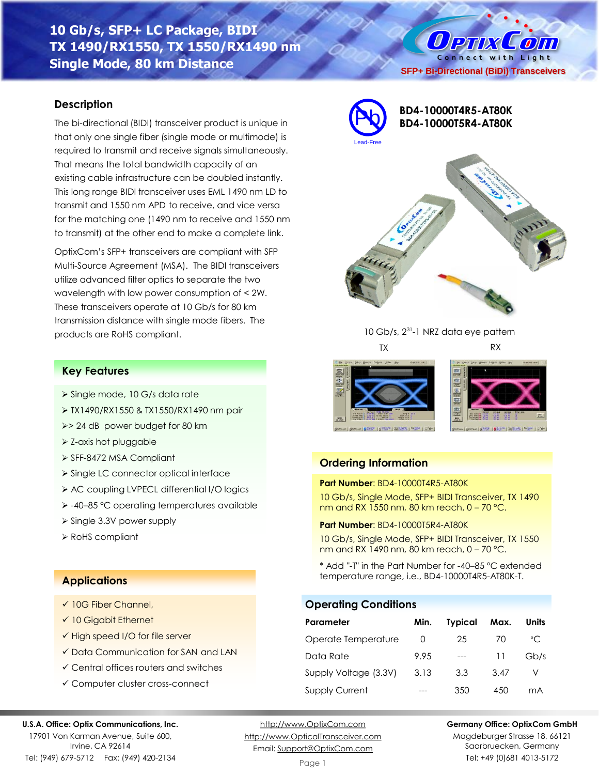# **10 Gb/s, SFP+ LC Package, BIDI TX 1490/RX1550, TX 1550/RX1490 nm Single Mode, 80 km Distance**

### **Description**

The bi-directional (BIDI) transceiver product is unique in that only one single fiber (single mode or multimode) is required to transmit and receive signals simultaneously. That means the total bandwidth capacity of an existing cable infrastructure can be doubled instantly. This long range BIDI transceiver uses EML 1490 nm LD to transmit and 1550 nm APD to receive, and vice versa for the matching one (1490 nm to receive and 1550 nm to transmit) at the other end to make a complete link.

OptixCom's SFP+ transceivers are compliant with SFP Multi-Source Agreement (MSA). The BIDI transceivers utilize advanced filter optics to separate the two wavelength with low power consumption of < 2W. These transceivers operate at 10 Gb/s for 80 km transmission distance with single mode fibers. The products are RoHS compliant.



# **BD4-10000T4R5-AT80K BD4-10000T5R4-AT80K**

**SFP+ Bi-Directional (BiDi) Transceivers**

**Ортіх Сопі** Connect with Light



10 Gb/s, 2<sup>31</sup>-1 NRZ data eye pattern TX RX





## **Ordering Information**

#### **Part Number**: BD4-10000T4R5-AT80K

10 Gb/s, Single Mode, SFP+ BIDI Transceiver, TX 1490 nm and RX 1550 nm, 80 km reach, 0 – 70 °C.

#### **Part Number**: BD4-10000T5R4-AT80K

10 Gb/s, Single Mode, SFP+ BIDI Transceiver, TX 1550 nm and RX 1490 nm, 80 km reach, 0 – 70 °C.

\* Add "-T" in the Part Number for -40–85 °C extended temperature range, i.e., BD4-10000T4R5-AT80K-T.

### **Operating Conditions**

| Parameter             | Min. | <b>Typical</b> | Max. | Units        |
|-----------------------|------|----------------|------|--------------|
| Operate Temperature   | O    | 25             | 70   | $^{\circ}$ C |
| Data Rate             | 9.95 |                | 11   | Gb/s         |
| Supply Voltage (3.3V) | 3.13 | 3.3            | 3.47 |              |
| <b>Supply Current</b> |      | 350            | 450  | mA           |

# **Applications**

**Key Features**

➢ Z-axis hot pluggable ➢ SFF-8472 MSA Compliant

➢ Single 3.3V power supply

➢ Single mode, 10 G/s data rate

➢> 24 dB power budget for 80 km

➢ TX1490/RX1550 & TX1550/RX1490 nm pair

➢ Single LC connector optical interface ➢ AC coupling LVPECL differential I/O logics ➢ -40–85 °C operating temperatures available

✓ 10G Fiber Channel,

➢ RoHS compliant

- ✓ 10 Gigabit Ethernet
- ✓ High speed I/O for file server
- ✓ Data Communication for SAN and LAN
- ✓ Central offices routers and switches
- ✓ Computer cluster cross-connect

#### **U.S.A. Office: Optix Communications, Inc.**

17901 Von Karman Avenue, Suite 600, Irvine, CA 92614 Tel: (949) 679-5712 Fax: (949) 420-2134

[http://www.OptixCom.com](http://www.optixcom.com/) [http://www.OpticalTransceiver.com](http://www.optoictech.com/) Email: [Support@OptixCom.com](mailto:Support@optoICtech.com)

#### **Germany Office: OptixCom GmbH**

Magdeburger Strasse 18, 66121 Saarbruecken, Germany Tel: +49 (0)681 4013-5172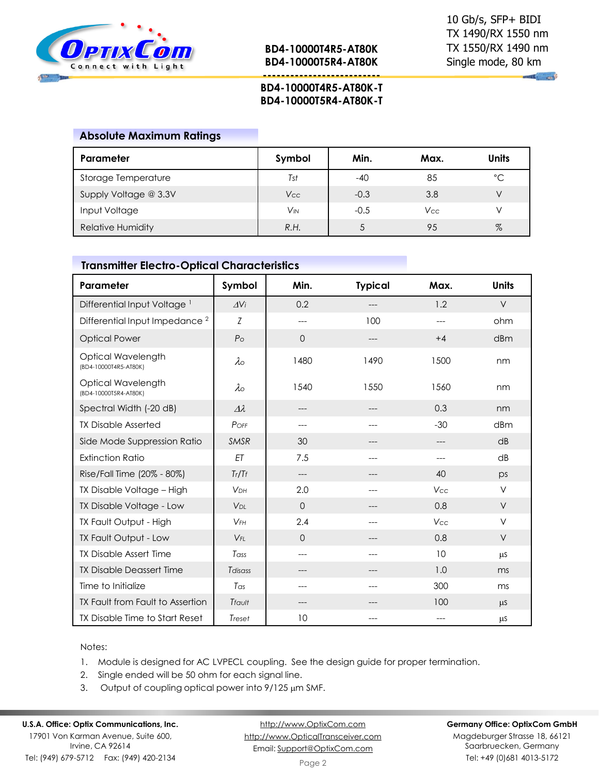

**--------------------------**

 $\mathbb{R}$   $\mathbb{R}$ 

## **BD4-10000T4R5-AT80K-T BD4-10000T5R4-AT80K-T**

#### **Absolute Maximum Ratings**

| Parameter                | Symbol     | Min.   | Max.       | <b>Units</b> |
|--------------------------|------------|--------|------------|--------------|
| Storage Temperature      | Tst        | -40    | 85         | °C           |
| Supply Voltage @ 3.3V    | <b>Vcc</b> | $-0.3$ | 3.8        |              |
| Input Voltage            | $V_{IN}$   | $-0.5$ | <b>Vcc</b> |              |
| <b>Relative Humidity</b> | R.H.       |        | 95         | $\%$         |

## **Transmitter Electro-Optical Characteristics**

| Parameter                                   | Symbol                | Min.        | <b>Typical</b> | Max.       | <b>Units</b> |
|---------------------------------------------|-----------------------|-------------|----------------|------------|--------------|
| Differential Input Voltage <sup>1</sup>     | $\Delta$ Vi           | 0.2         |                | 1.2        | $\vee$       |
| Differential Input Impedance <sup>2</sup>   | Z                     | ---         | 100            | ---        | ohm          |
| <b>Optical Power</b>                        | P <sub>O</sub>        | $\Omega$    | ---            | $+4$       | dBm          |
| Optical Wavelength<br>(BD4-10000T4R5-AT80K) | $\lambda$             | 1480        | 1490           | 1500       | nm           |
| Optical Wavelength<br>(BD4-10000T5R4-AT80K) | $\lambda \circ$       | 1540        | 1550           | 1560       | nm           |
| Spectral Width (-20 dB)                     | $\Delta \lambda$      | ---         |                | 0.3        | nm           |
| <b>TX Disable Asserted</b>                  | POFF                  | ---         | ---            | $-30$      | dBm          |
| Side Mode Suppression Ratio                 | <b>SMSR</b>           | 30          |                |            | dB           |
| <b>Extinction Ratio</b>                     | ET                    | 7.5         | ---            | ---        | dB           |
| Rise/Fall Time (20% - 80%)                  | Tr/Tf                 | ---         |                | 40         | ps           |
| TX Disable Voltage - High                   | <b>V<sub>DH</sub></b> | 2.0         | ---            | Vcc        | $\vee$       |
| TX Disable Voltage - Low                    | V <sub>DL</sub>       | $\mathbf 0$ | ---            | 0.8        | $\vee$       |
| TX Fault Output - High                      | $V$ FH                | 2.4         |                | <b>Vcc</b> | V            |
| TX Fault Output - Low                       | $V_{FI}$              | $\Omega$    | ---            | 0.8        | $\vee$       |
| <b>TX Disable Assert Time</b>               | Tass                  | $---$       | $---$          | 10         | μS           |
| <b>TX Disable Deassert Time</b>             | Tdisass               | ---         |                | 1.0        | ms           |
| Time to Initialize                          | Tas                   | ---         | ---            | 300        | ms           |
| TX Fault from Fault to Assertion            | Tfault                |             |                | 100        | $\mu$ S      |
| TX Disable Time to Start Reset              | Treset                | 10          |                |            | $\mu$ S      |

#### Notes:

- 1. Module is designed for AC LVPECL coupling. See the design guide for proper termination.
- 2. Single ended will be 50 ohm for each signal line.
- 3. Output of coupling optical power into  $9/125 \mu m$  SMF.

## **U.S.A. Office: Optix Communications, Inc.**

17901 Von Karman Avenue, Suite 600, Irvine, CA 92614 Tel: (949) 679-5712 Fax: (949) 420-2134

[http://www.OptixCom.com](http://www.optixcom.com/) [http://www.OpticalTransceiver.com](http://www.optoictech.com/) Email: [Support@OptixCom.com](mailto:Support@optoICtech.com)

#### **Germany Office: OptixCom GmbH**

Magdeburger Strasse 18, 66121 Saarbruecken, Germany Tel: +49 (0)681 4013-5172